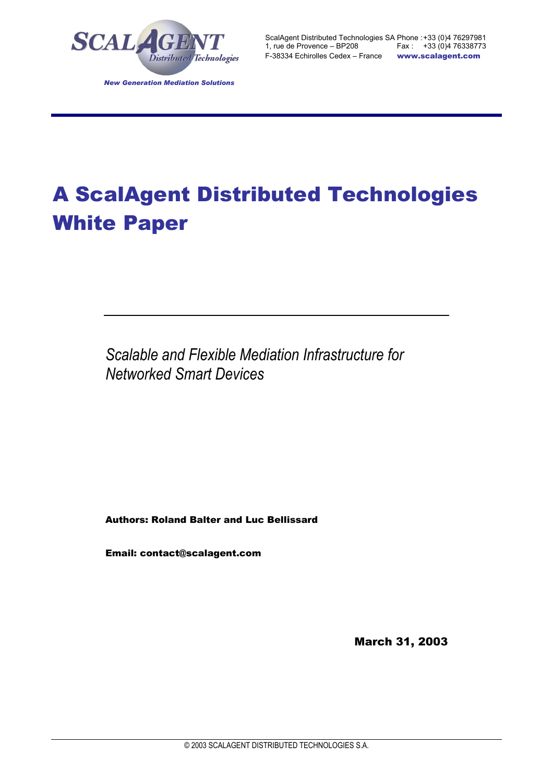

# A ScalAgent Distributed Technologies White Paper

*Scalable and Flexible Mediation Infrastructure for Networked Smart Devices* 

Authors: Roland Balter and Luc Bellissard

Email: contact@scalagent.com

March 31, 2003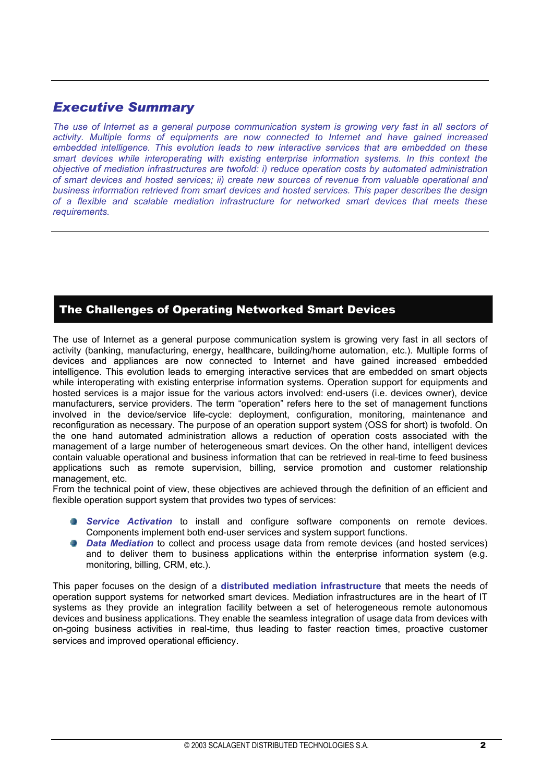## *Executive Summary*

*The use of Internet as a general purpose communication system is growing very fast in all sectors of activity. Multiple forms of equipments are now connected to Internet and have gained increased embedded intelligence. This evolution leads to new interactive services that are embedded on these smart devices while interoperating with existing enterprise information systems. In this context the objective of mediation infrastructures are twofold: i) reduce operation costs by automated administration of smart devices and hosted services; ii) create new sources of revenue from valuable operational and business information retrieved from smart devices and hosted services. This paper describes the design of a flexible and scalable mediation infrastructure for networked smart devices that meets these requirements.* 

## The Challenges of Operating Networked Smart Devices

The use of Internet as a general purpose communication system is growing very fast in all sectors of activity (banking, manufacturing, energy, healthcare, building/home automation, etc.). Multiple forms of devices and appliances are now connected to Internet and have gained increased embedded intelligence. This evolution leads to emerging interactive services that are embedded on smart objects while interoperating with existing enterprise information systems. Operation support for equipments and hosted services is a major issue for the various actors involved: end-users (i.e. devices owner), device manufacturers, service providers. The term "operation" refers here to the set of management functions involved in the device/service life-cycle: deployment, configuration, monitoring, maintenance and reconfiguration as necessary. The purpose of an operation support system (OSS for short) is twofold. On the one hand automated administration allows a reduction of operation costs associated with the management of a large number of heterogeneous smart devices. On the other hand, intelligent devices contain valuable operational and business information that can be retrieved in real-time to feed business applications such as remote supervision, billing, service promotion and customer relationship management, etc.

From the technical point of view, these objectives are achieved through the definition of an efficient and flexible operation support system that provides two types of services:

- *Service Activation* to install and configure software components on remote devices. Components implement both end-user services and system support functions.
- *Data Mediation* to collect and process usage data from remote devices (and hosted services) and to deliver them to business applications within the enterprise information system (e.g. monitoring, billing, CRM, etc.).

This paper focuses on the design of a **distributed mediation infrastructure** that meets the needs of operation support systems for networked smart devices. Mediation infrastructures are in the heart of IT systems as they provide an integration facility between a set of heterogeneous remote autonomous devices and business applications. They enable the seamless integration of usage data from devices with on-going business activities in real-time, thus leading to faster reaction times, proactive customer services and improved operational efficiency.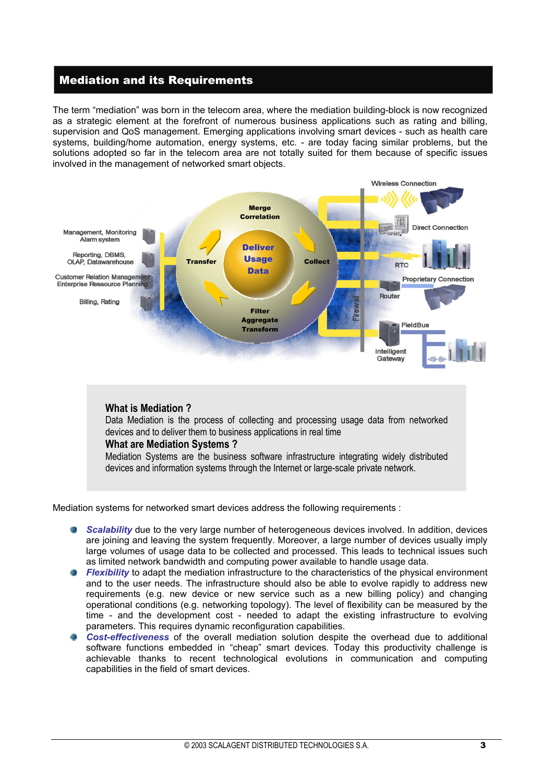## Mediation and its Requirements

The term "mediation" was born in the telecom area, where the mediation building-block is now recognized as a strategic element at the forefront of numerous business applications such as rating and billing, supervision and QoS management. Emerging applications involving smart devices - such as health care systems, building/home automation, energy systems, etc. - are today facing similar problems, but the solutions adopted so far in the telecom area are not totally suited for them because of specific issues involved in the management of networked smart objects.



Data Mediation is the process of collecting and processing usage data from networked devices and to deliver them to business applications in real time

#### **What are Mediation Systems ?**

Mediation Systems are the business software infrastructure integrating widely distributed devices and information systems through the Internet or large-scale private network.

Mediation systems for networked smart devices address the following requirements :

- **Scalability** due to the very large number of heterogeneous devices involved. In addition, devices are joining and leaving the system frequently. Moreover, a large number of devices usually imply large volumes of usage data to be collected and processed. This leads to technical issues such as limited network bandwidth and computing power available to handle usage data.
- 43 *Flexibility* to adapt the mediation infrastructure to the characteristics of the physical environment and to the user needs. The infrastructure should also be able to evolve rapidly to address new requirements (e.g. new device or new service such as a new billing policy) and changing operational conditions (e.g. networking topology). The level of flexibility can be measured by the time - and the development cost - needed to adapt the existing infrastructure to evolving parameters. This requires dynamic reconfiguration capabilities.
- *Cost-effectiveness* of the overall mediation solution despite the overhead due to additional software functions embedded in "cheap" smart devices. Today this productivity challenge is achievable thanks to recent technological evolutions in communication and computing capabilities in the field of smart devices.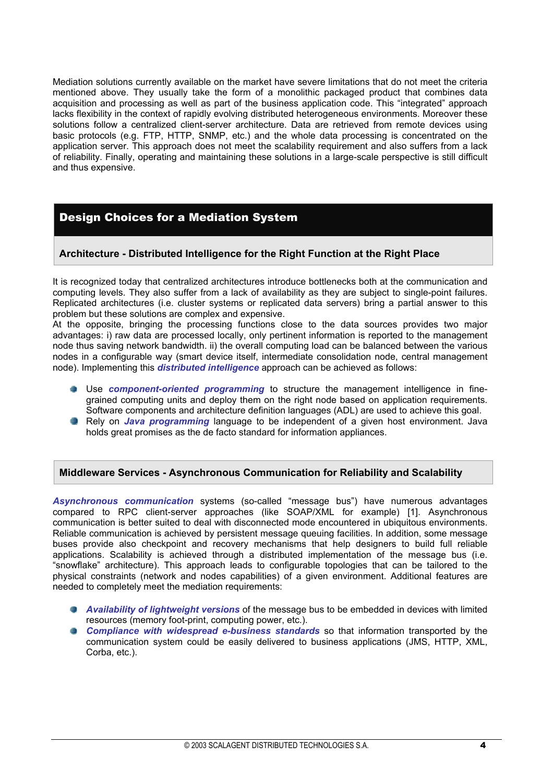Mediation solutions currently available on the market have severe limitations that do not meet the criteria mentioned above. They usually take the form of a monolithic packaged product that combines data acquisition and processing as well as part of the business application code. This "integrated" approach lacks flexibility in the context of rapidly evolving distributed heterogeneous environments. Moreover these solutions follow a centralized client-server architecture. Data are retrieved from remote devices using basic protocols (e.g. FTP, HTTP, SNMP, etc.) and the whole data processing is concentrated on the application server. This approach does not meet the scalability requirement and also suffers from a lack of reliability. Finally, operating and maintaining these solutions in a large-scale perspective is still difficult and thus expensive.

## Design Choices for a Mediation System

### **Architecture - Distributed Intelligence for the Right Function at the Right Place**

It is recognized today that centralized architectures introduce bottlenecks both at the communication and computing levels. They also suffer from a lack of availability as they are subject to single-point failures. Replicated architectures (i.e. cluster systems or replicated data servers) bring a partial answer to this problem but these solutions are complex and expensive.

At the opposite, bringing the processing functions close to the data sources provides two major advantages: i) raw data are processed locally, only pertinent information is reported to the management node thus saving network bandwidth. ii) the overall computing load can be balanced between the various nodes in a configurable way (smart device itself, intermediate consolidation node, central management node). Implementing this *distributed intelligence* approach can be achieved as follows:

- Use *component-oriented programming* to structure the management intelligence in finegrained computing units and deploy them on the right node based on application requirements. Software components and architecture definition languages (ADL) are used to achieve this goal.
- **Rely on** *Java programming* language to be independent of a given host environment. Java holds great promises as the de facto standard for information appliances.

#### **Middleware Services - Asynchronous Communication for Reliability and Scalability**

*Asynchronous communication* systems (so-called "message bus") have numerous advantages compared to RPC client-server approaches (like SOAP/XML for example) [1]. Asynchronous communication is better suited to deal with disconnected mode encountered in ubiquitous environments. Reliable communication is achieved by persistent message queuing facilities. In addition, some message buses provide also checkpoint and recovery mechanisms that help designers to build full reliable applications. Scalability is achieved through a distributed implementation of the message bus (i.e. "snowflake" architecture). This approach leads to configurable topologies that can be tailored to the physical constraints (network and nodes capabilities) of a given environment. Additional features are needed to completely meet the mediation requirements:

- *Availability of lightweight versions* of the message bus to be embedded in devices with limited resources (memory foot-print, computing power, etc.).
- **Compliance with widespread e-business standards so that information transported by the** communication system could be easily delivered to business applications (JMS, HTTP, XML, Corba, etc.).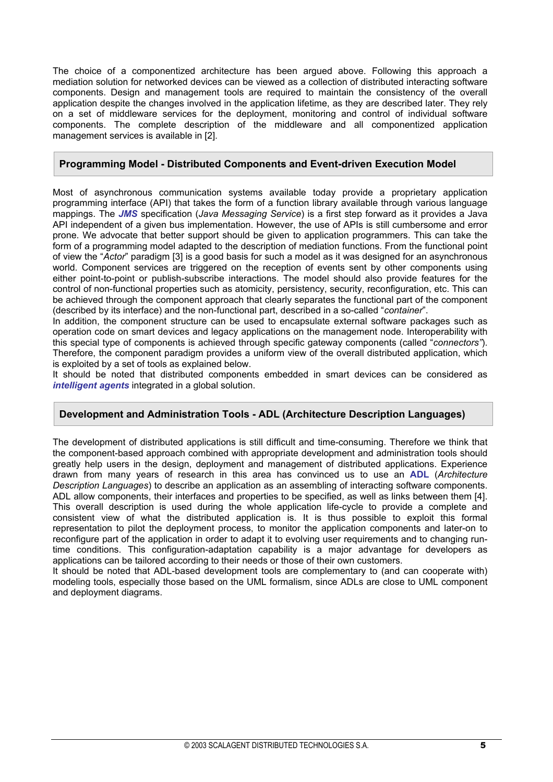The choice of a componentized architecture has been argued above. Following this approach a mediation solution for networked devices can be viewed as a collection of distributed interacting software components. Design and management tools are required to maintain the consistency of the overall application despite the changes involved in the application lifetime, as they are described later. They rely on a set of middleware services for the deployment, monitoring and control of individual software components. The complete description of the middleware and all componentized application management services is available in [2].

### **Programming Model - Distributed Components and Event-driven Execution Model**

Most of asynchronous communication systems available today provide a proprietary application programming interface (API) that takes the form of a function library available through various language mappings. The *JMS* specification (*Java Messaging Service*) is a first step forward as it provides a Java API independent of a given bus implementation. However, the use of APIs is still cumbersome and error prone. We advocate that better support should be given to application programmers. This can take the form of a programming model adapted to the description of mediation functions. From the functional point of view the "*Actor*" paradigm [3] is a good basis for such a model as it was designed for an asynchronous world. Component services are triggered on the reception of events sent by other components using either point-to-point or publish-subscribe interactions. The model should also provide features for the control of non-functional properties such as atomicity, persistency, security, reconfiguration, etc. This can be achieved through the component approach that clearly separates the functional part of the component (described by its interface) and the non-functional part, described in a so-called "*container*".

In addition, the component structure can be used to encapsulate external software packages such as operation code on smart devices and legacy applications on the management node. Interoperability with this special type of components is achieved through specific gateway components (called "*connectors"*). Therefore, the component paradigm provides a uniform view of the overall distributed application, which is exploited by a set of tools as explained below.

It should be noted that distributed components embedded in smart devices can be considered as *intelligent agents* integrated in a global solution.

#### **Development and Administration Tools - ADL (Architecture Description Languages)**

The development of distributed applications is still difficult and time-consuming. Therefore we think that the component-based approach combined with appropriate development and administration tools should greatly help users in the design, deployment and management of distributed applications. Experience drawn from many years of research in this area has convinced us to use an **ADL** (*Architecture Description Languages*) to describe an application as an assembling of interacting software components. ADL allow components, their interfaces and properties to be specified, as well as links between them [4]. This overall description is used during the whole application life-cycle to provide a complete and consistent view of what the distributed application is. It is thus possible to exploit this formal representation to pilot the deployment process, to monitor the application components and later-on to reconfigure part of the application in order to adapt it to evolving user requirements and to changing runtime conditions. This configuration-adaptation capability is a major advantage for developers as applications can be tailored according to their needs or those of their own customers.

It should be noted that ADL-based development tools are complementary to (and can cooperate with) modeling tools, especially those based on the UML formalism, since ADLs are close to UML component and deployment diagrams.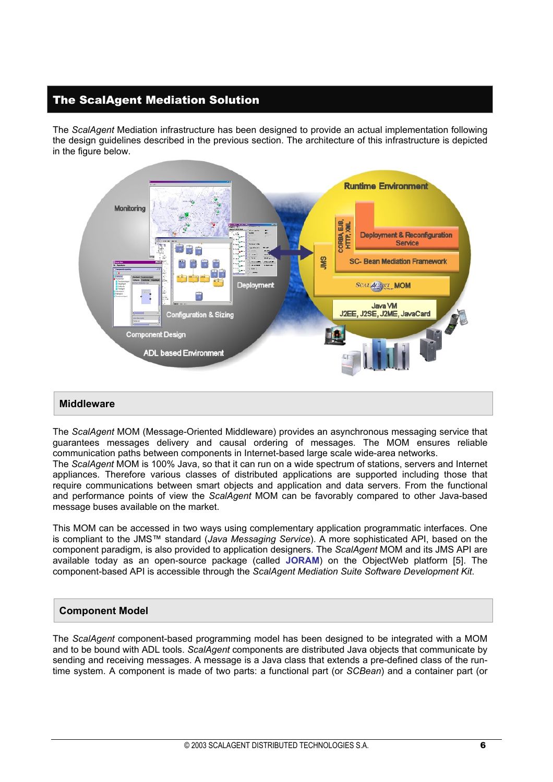## The ScalAgent Mediation Solution

The *ScalAgent* Mediation infrastructure has been designed to provide an actual implementation following the design guidelines described in the previous section. The architecture of this infrastructure is depicted in the figure below.



#### **Middleware**

The *ScalAgent* MOM (Message-Oriented Middleware) provides an asynchronous messaging service that guarantees messages delivery and causal ordering of messages. The MOM ensures reliable communication paths between components in Internet-based large scale wide-area networks.

The *ScalAgent* MOM is 100% Java, so that it can run on a wide spectrum of stations, servers and Internet appliances. Therefore various classes of distributed applications are supported including those that require communications between smart objects and application and data servers. From the functional and performance points of view the *ScalAgent* MOM can be favorably compared to other Java-based message buses available on the market.

This MOM can be accessed in two ways using complementary application programmatic interfaces. One is compliant to the JMS™ standard (*Java Messaging Service*). A more sophisticated API, based on the component paradigm, is also provided to application designers. The *ScalAgent* MOM and its JMS API are available today as an open-source package (called **JORAM**) on the ObjectWeb platform [5]. The component-based API is accessible through the *ScalAgent Mediation Suite Software Development Kit*.

#### **Component Model**

The *ScalAgent* component-based programming model has been designed to be integrated with a MOM and to be bound with ADL tools. *ScalAgent* components are distributed Java objects that communicate by sending and receiving messages. A message is a Java class that extends a pre-defined class of the runtime system. A component is made of two parts: a functional part (or *SCBean*) and a container part (or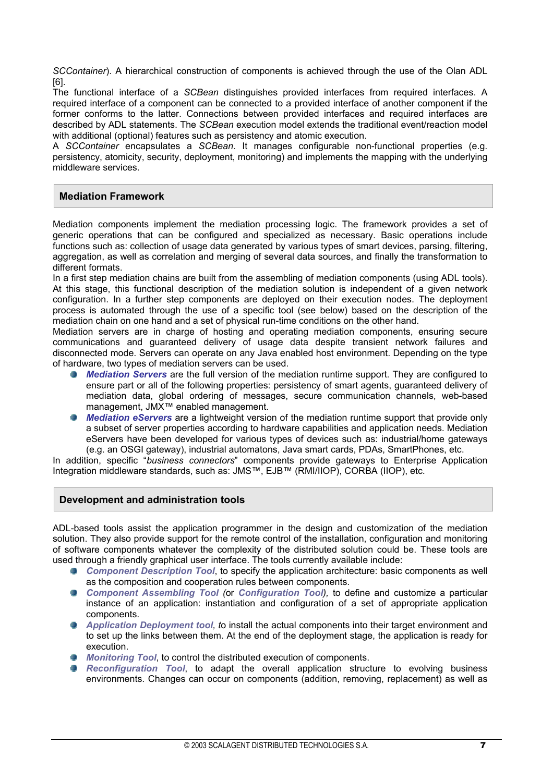*SCContainer*). A hierarchical construction of components is achieved through the use of the Olan ADL [6].

The functional interface of a *SCBean* distinguishes provided interfaces from required interfaces. A required interface of a component can be connected to a provided interface of another component if the former conforms to the latter. Connections between provided interfaces and required interfaces are described by ADL statements. The *SCBean* execution model extends the traditional event/reaction model with additional (optional) features such as persistency and atomic execution.

A *SCContainer* encapsulates a *SCBean*. It manages configurable non-functional properties (e.g. persistency, atomicity, security, deployment, monitoring) and implements the mapping with the underlying middleware services.

### **Mediation Framework**

Mediation components implement the mediation processing logic. The framework provides a set of generic operations that can be configured and specialized as necessary. Basic operations include functions such as: collection of usage data generated by various types of smart devices, parsing, filtering, aggregation, as well as correlation and merging of several data sources, and finally the transformation to different formats.

In a first step mediation chains are built from the assembling of mediation components (using ADL tools). At this stage, this functional description of the mediation solution is independent of a given network configuration. In a further step components are deployed on their execution nodes. The deployment process is automated through the use of a specific tool (see below) based on the description of the mediation chain on one hand and a set of physical run-time conditions on the other hand.

Mediation servers are in charge of hosting and operating mediation components, ensuring secure communications and guaranteed delivery of usage data despite transient network failures and disconnected mode. Servers can operate on any Java enabled host environment. Depending on the type of hardware, two types of mediation servers can be used.

- *Mediation Servers* are the full version of the mediation runtime support. They are configured to **TELEVISION** ensure part or all of the following properties: persistency of smart agents, guaranteed delivery of mediation data, global ordering of messages, secure communication channels, web-based management, JMX™ enabled management.
- *Mediation eServers* are a lightweight version of the mediation runtime support that provide only a subset of server properties according to hardware capabilities and application needs. Mediation eServers have been developed for various types of devices such as: industrial/home gateways (e.g. an OSGI gateway), industrial automatons, Java smart cards, PDAs, SmartPhones, etc.

In addition, specific "*business connectors*" components provide gateways to Enterprise Application Integration middleware standards, such as: JMS™, EJB™ (RMI/IIOP), CORBA (IIOP), etc.

#### **Development and administration tools**

ADL-based tools assist the application programmer in the design and customization of the mediation solution. They also provide support for the remote control of the installation, configuration and monitoring of software components whatever the complexity of the distributed solution could be. These tools are used through a friendly graphical user interface. The tools currently available include:

- *Component Description Tool*, to specify the application architecture: basic components as well as the composition and cooperation rules between components.
- *Component Assembling Tool (*or *Configuration Tool),* to define and customize a particular instance of an application: instantiation and configuration of a set of appropriate application components.
- *Application Deployment tool, t*o install the actual components into their target environment and to set up the links between them. At the end of the deployment stage, the application is ready for execution.
- *Monitoring Tool*, to control the distributed execution of components.
- *Reconfiguration Tool*, to adapt the overall application structure to evolving business environments. Changes can occur on components (addition, removing, replacement) as well as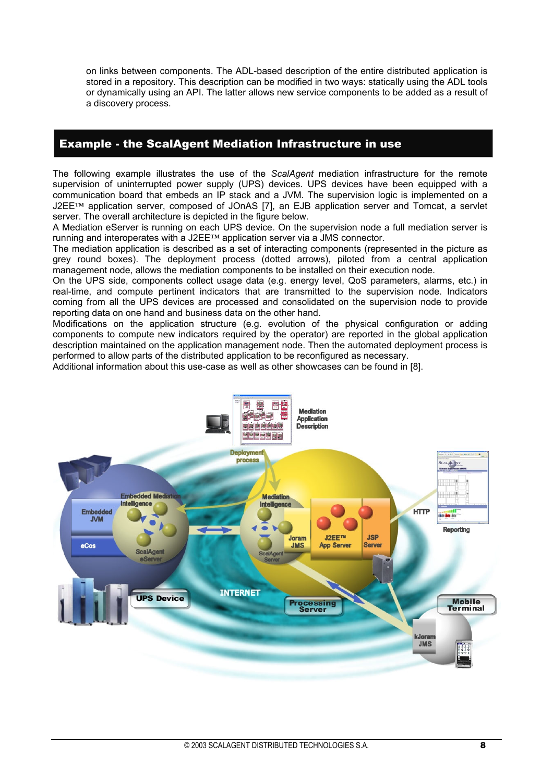on links between components. The ADL-based description of the entire distributed application is stored in a repository. This description can be modified in two ways: statically using the ADL tools or dynamically using an API. The latter allows new service components to be added as a result of a discovery process.

## Example - the ScalAgent Mediation Infrastructure in use

The following example illustrates the use of the *ScalAgent* mediation infrastructure for the remote supervision of uninterrupted power supply (UPS) devices. UPS devices have been equipped with a communication board that embeds an IP stack and a JVM. The supervision logic is implemented on a J2EE™ application server, composed of JOnAS [7], an EJB application server and Tomcat, a servlet server. The overall architecture is depicted in the figure below.

A Mediation eServer is running on each UPS device. On the supervision node a full mediation server is running and interoperates with a J2EE™ application server via a JMS connector.

The mediation application is described as a set of interacting components (represented in the picture as grey round boxes). The deployment process (dotted arrows), piloted from a central application management node, allows the mediation components to be installed on their execution node.

On the UPS side, components collect usage data (e.g. energy level, QoS parameters, alarms, etc.) in real-time, and compute pertinent indicators that are transmitted to the supervision node. Indicators coming from all the UPS devices are processed and consolidated on the supervision node to provide reporting data on one hand and business data on the other hand.

Modifications on the application structure (e.g. evolution of the physical configuration or adding components to compute new indicators required by the operator) are reported in the global application description maintained on the application management node. Then the automated deployment process is performed to allow parts of the distributed application to be reconfigured as necessary.

Additional information about this use-case as well as other showcases can be found in [8].

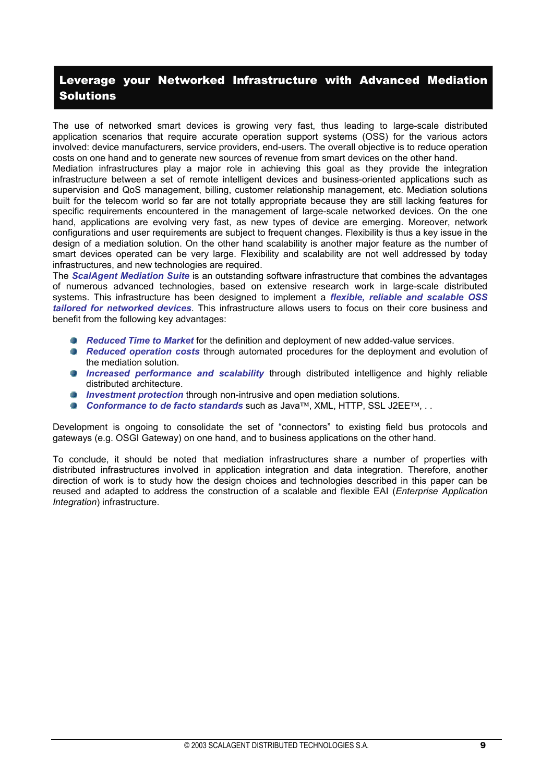## Leverage your Networked Infrastructure with Advanced Mediation **Solutions**

The use of networked smart devices is growing very fast, thus leading to large-scale distributed application scenarios that require accurate operation support systems (OSS) for the various actors involved: device manufacturers, service providers, end-users. The overall objective is to reduce operation costs on one hand and to generate new sources of revenue from smart devices on the other hand.

Mediation infrastructures play a major role in achieving this goal as they provide the integration infrastructure between a set of remote intelligent devices and business-oriented applications such as supervision and QoS management, billing, customer relationship management, etc. Mediation solutions built for the telecom world so far are not totally appropriate because they are still lacking features for specific requirements encountered in the management of large-scale networked devices. On the one hand, applications are evolving very fast, as new types of device are emerging. Moreover, network configurations and user requirements are subject to frequent changes. Flexibility is thus a key issue in the design of a mediation solution. On the other hand scalability is another major feature as the number of smart devices operated can be very large. Flexibility and scalability are not well addressed by today infrastructures, and new technologies are required.

The *ScalAgent Mediation Suite* is an outstanding software infrastructure that combines the advantages of numerous advanced technologies, based on extensive research work in large-scale distributed systems. This infrastructure has been designed to implement a *flexible, reliable and scalable OSS tailored for networked devices*. This infrastructure allows users to focus on their core business and benefit from the following key advantages:

- *Reduced Time to Market* for the definition and deployment of new added-value services.
- *Reduced operation costs* through automated procedures for the deployment and evolution of the mediation solution.
- *Increased performance and scalability* through distributed intelligence and highly reliable distributed architecture.
- *Investment protection* through non-intrusive and open mediation solutions.
- *Conformance to de facto standards* such as Java™, XML, HTTP, SSL J2EE™, . .

Development is ongoing to consolidate the set of "connectors" to existing field bus protocols and gateways (e.g. OSGI Gateway) on one hand, and to business applications on the other hand.

To conclude, it should be noted that mediation infrastructures share a number of properties with distributed infrastructures involved in application integration and data integration. Therefore, another direction of work is to study how the design choices and technologies described in this paper can be reused and adapted to address the construction of a scalable and flexible EAI (*Enterprise Application Integration*) infrastructure.